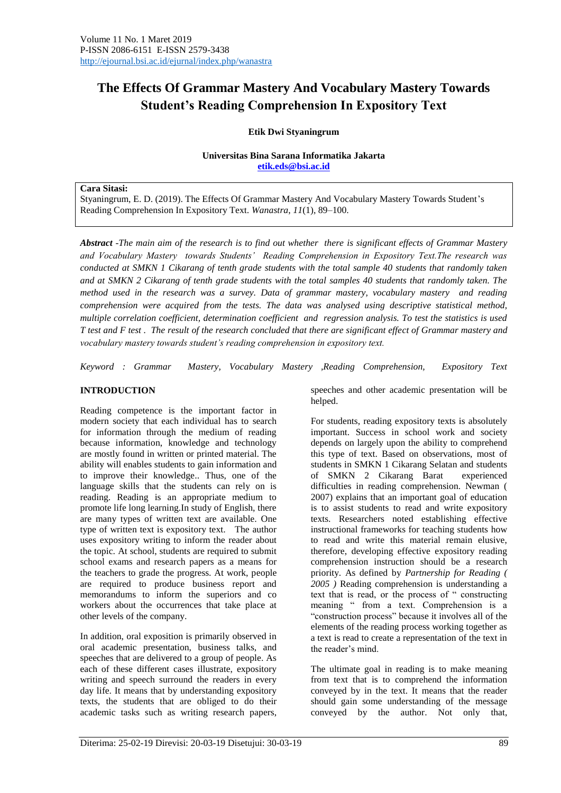# **The Effects Of Grammar Mastery And Vocabulary Mastery Towards Student's Reading Comprehension In Expository Text**

#### **Etik Dwi Styaningrum**

#### **Universitas Bina Sarana Informatika Jakarta [etik.eds@bsi.ac.id](mailto:etik.eds@bsi.ac.id)**

#### **Cara Sitasi:**

Styaningrum, E. D. (2019). The Effects Of Grammar Mastery And Vocabulary Mastery Towards Student"s Reading Comprehension In Expository Text. *Wanastra*, *11*(1), 89–100.

*Abstract -The main aim of the research is to find out whether there is significant effects of Grammar Mastery and Vocabulary Mastery towards Students' Reading Comprehension in Expository Text.The research was conducted at SMKN 1 Cikarang of tenth grade students with the total sample 40 students that randomly taken and at SMKN 2 Cikarang of tenth grade students with the total samples 40 students that randomly taken. The method used in the research was a survey. Data of grammar mastery, vocabulary mastery and reading comprehension were acquired from the tests. The data was analysed using descriptive statistical method, multiple correlation coefficient, determination coefficient and regression analysis. To test the statistics is used T test and F test . The result of the research concluded that there are significant effect of Grammar mastery and vocabulary mastery towards student's reading comprehension in expository text.* 

*Keyword : Grammar Mastery, Vocabulary Mastery ,Reading Comprehension, Expository Text*

#### **INTRODUCTION**

Reading competence is the important factor in modern society that each individual has to search for information through the medium of reading because information, knowledge and technology are mostly found in written or printed material. The ability will enables students to gain information and to improve their knowledge.. Thus, one of the language skills that the students can rely on is reading. Reading is an appropriate medium to promote life long learning.In study of English, there are many types of written text are available. One type of written text is expository text. The author uses expository writing to inform the reader about the topic. At school, students are required to submit school exams and research papers as a means for the teachers to grade the progress. At work, people are required to produce business report and memorandums to inform the superiors and co workers about the occurrences that take place at other levels of the company.

In addition, oral exposition is primarily observed in oral academic presentation, business talks, and speeches that are delivered to a group of people. As each of these different cases illustrate, expository writing and speech surround the readers in every day life. It means that by understanding expository texts, the students that are obliged to do their academic tasks such as writing research papers, speeches and other academic presentation will be helped.

For students, reading expository texts is absolutely important. Success in school work and society depends on largely upon the ability to comprehend this type of text. Based on observations, most of students in SMKN 1 Cikarang Selatan and students of SMKN 2 Cikarang Barat experienced difficulties in reading comprehension. Newman ( 2007) explains that an important goal of education is to assist students to read and write expository texts. Researchers noted establishing effective instructional frameworks for teaching students how to read and write this material remain elusive, therefore, developing effective expository reading comprehension instruction should be a research priority. As defined by *Partnership for Reading ( 2005 )* Reading comprehension is understanding a text that is read, or the process of " constructing meaning " from a text. Comprehension is a "construction process" because it involves all of the elements of the reading process working together as a text is read to create a representation of the text in the reader's mind.

The ultimate goal in reading is to make meaning from text that is to comprehend the information conveyed by in the text. It means that the reader should gain some understanding of the message conveyed by the author. Not only that,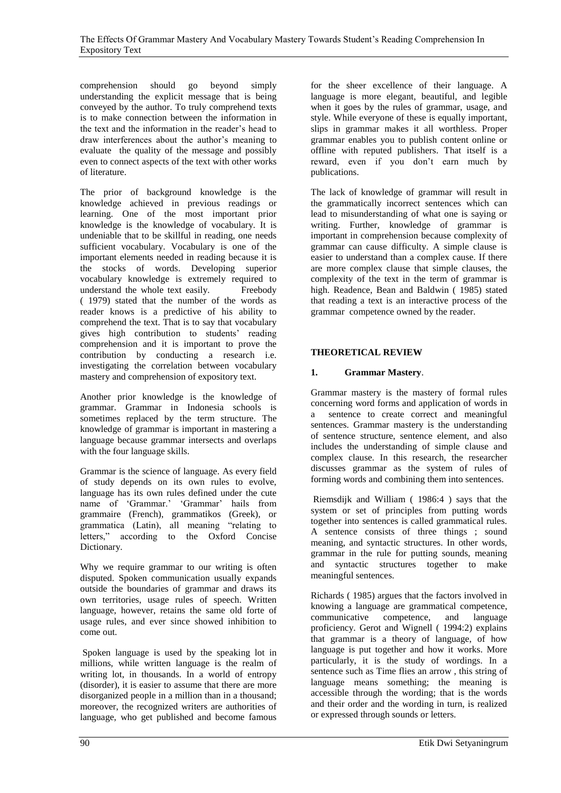comprehension should go beyond simply understanding the explicit message that is being conveyed by the author. To truly comprehend texts is to make connection between the information in the text and the information in the reader"s head to draw interferences about the author"s meaning to evaluate the quality of the message and possibly even to connect aspects of the text with other works of literature.

The prior of background knowledge is the knowledge achieved in previous readings or learning. One of the most important prior knowledge is the knowledge of vocabulary. It is undeniable that to be skillful in reading, one needs sufficient vocabulary. Vocabulary is one of the important elements needed in reading because it is the stocks of words. Developing superior vocabulary knowledge is extremely required to understand the whole text easily. Freebody ( 1979) stated that the number of the words as reader knows is a predictive of his ability to comprehend the text. That is to say that vocabulary gives high contribution to students' reading comprehension and it is important to prove the contribution by conducting a research i.e. investigating the correlation between vocabulary mastery and comprehension of expository text.

Another prior knowledge is the knowledge of grammar. Grammar in Indonesia schools is sometimes replaced by the term structure. The knowledge of grammar is important in mastering a language because grammar intersects and overlaps with the four language skills.

Grammar is the science of language. As every field of study depends on its own rules to evolve, language has its own rules defined under the cute name of 'Grammar.' 'Grammar' hails from grammaire (French), grammatikos (Greek), or grammatica (Latin), all meaning "relating to letters," according to the Oxford Concise Dictionary.

Why we require grammar to our writing is often disputed. Spoken communication usually expands outside the boundaries of grammar and draws its own territories, usage rules of speech. Written language, however, retains the same old forte of usage rules, and ever since showed inhibition to come out.

Spoken language is used by the speaking lot in millions, while written language is the realm of writing lot, in thousands. In a world of entropy (disorder), it is easier to assume that there are more disorganized people in a million than in a thousand; moreover, the recognized writers are authorities of language, who get published and become famous for the sheer excellence of their language. A language is more elegant, beautiful, and legible when it goes by the rules of grammar, usage, and style. While everyone of these is equally important, slips in grammar makes it all worthless. Proper grammar enables you to publish content online or offline with reputed publishers. That itself is a reward, even if you don"t earn much by publications.

The lack of knowledge of grammar will result in the grammatically incorrect sentences which can lead to misunderstanding of what one is saying or writing. Further, knowledge of grammar is important in comprehension because complexity of grammar can cause difficulty. A simple clause is easier to understand than a complex cause. If there are more complex clause that simple clauses, the complexity of the text in the term of grammar is high. Readence, Bean and Baldwin ( 1985) stated that reading a text is an interactive process of the grammar competence owned by the reader.

# **THEORETICAL REVIEW**

### **1. Grammar Mastery**.

Grammar mastery is the mastery of formal rules concerning word forms and application of words in a sentence to create correct and meaningful sentences. Grammar mastery is the understanding of sentence structure, sentence element, and also includes the understanding of simple clause and complex clause. In this research, the researcher discusses grammar as the system of rules of forming words and combining them into sentences.

Riemsdijk and William ( 1986:4 ) says that the system or set of principles from putting words together into sentences is called grammatical rules. A sentence consists of three things ; sound meaning, and syntactic structures. In other words, grammar in the rule for putting sounds, meaning and syntactic structures together to make meaningful sentences.

Richards ( 1985) argues that the factors involved in knowing a language are grammatical competence, communicative competence, and language proficiency. Gerot and Wignell ( 1994:2) explains that grammar is a theory of language, of how language is put together and how it works. More particularly, it is the study of wordings. In a sentence such as Time flies an arrow , this string of language means something; the meaning is accessible through the wording; that is the words and their order and the wording in turn, is realized or expressed through sounds or letters.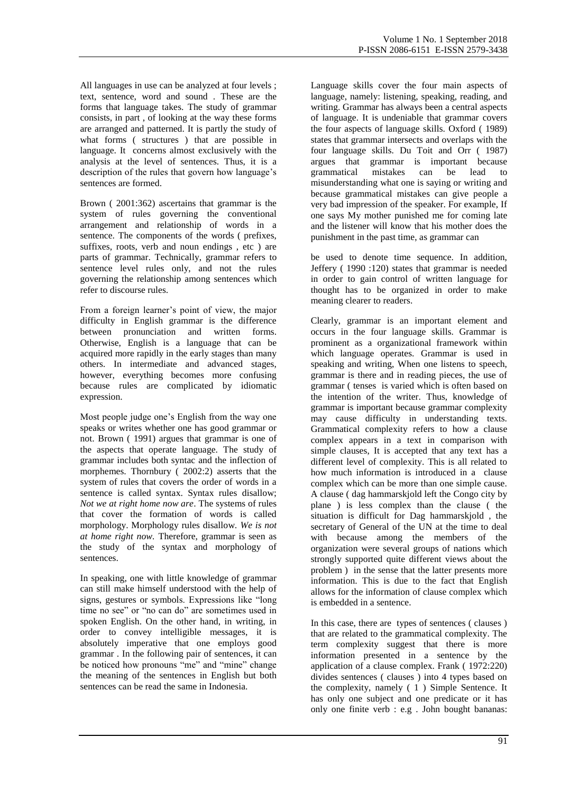All languages in use can be analyzed at four levels ; text, sentence, word and sound . These are the forms that language takes. The study of grammar consists, in part , of looking at the way these forms are arranged and patterned. It is partly the study of what forms ( structures ) that are possible in language. It concerns almost exclusively with the analysis at the level of sentences. Thus, it is a description of the rules that govern how language's sentences are formed.

Brown ( 2001:362) ascertains that grammar is the system of rules governing the conventional arrangement and relationship of words in a sentence. The components of the words ( prefixes, suffixes, roots, verb and noun endings , etc ) are parts of grammar. Technically, grammar refers to sentence level rules only, and not the rules governing the relationship among sentences which refer to discourse rules.

From a foreign learner's point of view, the major difficulty in English grammar is the difference between pronunciation and written forms. Otherwise, English is a language that can be acquired more rapidly in the early stages than many others. In intermediate and advanced stages, however, everything becomes more confusing because rules are complicated by idiomatic expression.

Most people judge one"s English from the way one speaks or writes whether one has good grammar or not. Brown ( 1991) argues that grammar is one of the aspects that operate language. The study of grammar includes both syntac and the inflection of morphemes. Thornbury ( 2002:2) asserts that the system of rules that covers the order of words in a sentence is called syntax. Syntax rules disallow; *Not we at right home now are*. The systems of rules that cover the formation of words is called morphology. Morphology rules disallow*. We is not at home right now.* Therefore, grammar is seen as the study of the syntax and morphology of sentences.

In speaking, one with little knowledge of grammar can still make himself understood with the help of signs, gestures or symbols. Expressions like "long time no see" or "no can do" are sometimes used in spoken English. On the other hand, in writing, in order to convey intelligible messages, it is absolutely imperative that one employs good grammar . In the following pair of sentences, it can be noticed how pronouns "me" and "mine" change the meaning of the sentences in English but both sentences can be read the same in Indonesia.

Language skills cover the four main aspects of language, namely: listening, speaking, reading, and writing. Grammar has always been a central aspects of language. It is undeniable that grammar covers the four aspects of language skills. Oxford ( 1989) states that grammar intersects and overlaps with the four language skills. Du Toit and Orr ( 1987) argues that grammar is important because grammatical mistakes can be lead to misunderstanding what one is saying or writing and because grammatical mistakes can give people a very bad impression of the speaker. For example, If one says My mother punished me for coming late and the listener will know that his mother does the punishment in the past time, as grammar can

be used to denote time sequence. In addition, Jeffery ( 1990 :120) states that grammar is needed in order to gain control of written language for thought has to be organized in order to make meaning clearer to readers.

Clearly, grammar is an important element and occurs in the four language skills. Grammar is prominent as a organizational framework within which language operates. Grammar is used in speaking and writing, When one listens to speech, grammar is there and in reading pieces, the use of grammar ( tenses is varied which is often based on the intention of the writer. Thus, knowledge of grammar is important because grammar complexity may cause difficulty in understanding texts. Grammatical complexity refers to how a clause complex appears in a text in comparison with simple clauses, It is accepted that any text has a different level of complexity. This is all related to how much information is introduced in a clause complex which can be more than one simple cause. A clause ( dag hammarskjold left the Congo city by plane ) is less complex than the clause ( the situation is difficult for Dag hammarskjold , the secretary of General of the UN at the time to deal with because among the members of the organization were several groups of nations which strongly supported quite different views about the problem ) in the sense that the latter presents more information. This is due to the fact that English allows for the information of clause complex which is embedded in a sentence.

In this case, there are types of sentences ( clauses ) that are related to the grammatical complexity. The term complexity suggest that there is more information presented in a sentence by the application of a clause complex. Frank ( 1972:220) divides sentences ( clauses ) into 4 types based on the complexity, namely ( 1 ) Simple Sentence. It has only one subject and one predicate or it has only one finite verb : e.g . John bought bananas: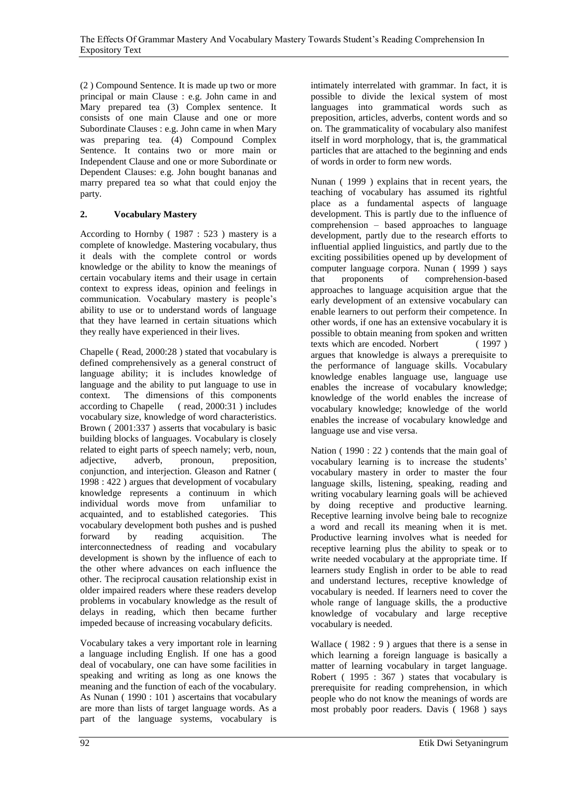(2 ) Compound Sentence. It is made up two or more principal or main Clause : e.g. John came in and Mary prepared tea (3) Complex sentence. It consists of one main Clause and one or more Subordinate Clauses : e.g. John came in when Mary was preparing tea. (4) Compound Complex Sentence. It contains two or more main or Independent Clause and one or more Subordinate or Dependent Clauses: e.g. John bought bananas and marry prepared tea so what that could enjoy the party.

# **2. Vocabulary Mastery**

According to Hornby ( 1987 : 523 ) mastery is a complete of knowledge. Mastering vocabulary, thus it deals with the complete control or words knowledge or the ability to know the meanings of certain vocabulary items and their usage in certain context to express ideas, opinion and feelings in communication. Vocabulary mastery is people"s ability to use or to understand words of language that they have learned in certain situations which they really have experienced in their lives.

Chapelle ( Read, 2000:28 ) stated that vocabulary is defined comprehensively as a general construct of language ability; it is includes knowledge of language and the ability to put language to use in context. The dimensions of this components according to Chapelle (read, 2000:31) includes  $(\text{read}, 2000:31)$  includes vocabulary size, knowledge of word characteristics. Brown ( 2001:337 ) asserts that vocabulary is basic building blocks of languages. Vocabulary is closely related to eight parts of speech namely; verb, noun,<br>adjective, adverb, pronoun, preposition, adjective, adverb, pronoun, preposition. conjunction, and interjection. Gleason and Ratner ( 1998 : 422 ) argues that development of vocabulary knowledge represents a continuum in which individual words move from unfamiliar to acquainted, and to established categories. This vocabulary development both pushes and is pushed forward by reading acquisition. The interconnectedness of reading and vocabulary development is shown by the influence of each to the other where advances on each influence the other. The reciprocal causation relationship exist in older impaired readers where these readers develop problems in vocabulary knowledge as the result of delays in reading, which then became further impeded because of increasing vocabulary deficits.

Vocabulary takes a very important role in learning a language including English. If one has a good deal of vocabulary, one can have some facilities in speaking and writing as long as one knows the meaning and the function of each of the vocabulary. As Nunan ( 1990 : 101 ) ascertains that vocabulary are more than lists of target language words. As a part of the language systems, vocabulary is intimately interrelated with grammar. In fact, it is possible to divide the lexical system of most languages into grammatical words such as preposition, articles, adverbs, content words and so on. The grammaticality of vocabulary also manifest itself in word morphology, that is, the grammatical particles that are attached to the beginning and ends of words in order to form new words.

Nunan ( 1999 ) explains that in recent years, the teaching of vocabulary has assumed its rightful place as a fundamental aspects of language development. This is partly due to the influence of comprehension – based approaches to language development, partly due to the research efforts to influential applied linguistics, and partly due to the exciting possibilities opened up by development of computer language corpora. Nunan ( 1999 ) says that proponents of comprehension-based approaches to language acquisition argue that the early development of an extensive vocabulary can enable learners to out perform their competence. In other words, if one has an extensive vocabulary it is possible to obtain meaning from spoken and written texts which are encoded. Norbert ( 1997 ) argues that knowledge is always a prerequisite to the performance of language skills. Vocabulary knowledge enables language use, language use enables the increase of vocabulary knowledge; knowledge of the world enables the increase of vocabulary knowledge; knowledge of the world enables the increase of vocabulary knowledge and language use and vise versa.

Nation ( 1990 : 22 ) contends that the main goal of vocabulary learning is to increase the students" vocabulary mastery in order to master the four language skills, listening, speaking, reading and writing vocabulary learning goals will be achieved by doing receptive and productive learning. Receptive learning involve being bale to recognize a word and recall its meaning when it is met. Productive learning involves what is needed for receptive learning plus the ability to speak or to write needed vocabulary at the appropriate time. If learners study English in order to be able to read and understand lectures, receptive knowledge of vocabulary is needed. If learners need to cover the whole range of language skills, the a productive knowledge of vocabulary and large receptive vocabulary is needed.

Wallace ( 1982 : 9 ) argues that there is a sense in which learning a foreign language is basically a matter of learning vocabulary in target language. Robert ( 1995 : 367 ) states that vocabulary is prerequisite for reading comprehension, in which people who do not know the meanings of words are most probably poor readers. Davis ( 1968 ) says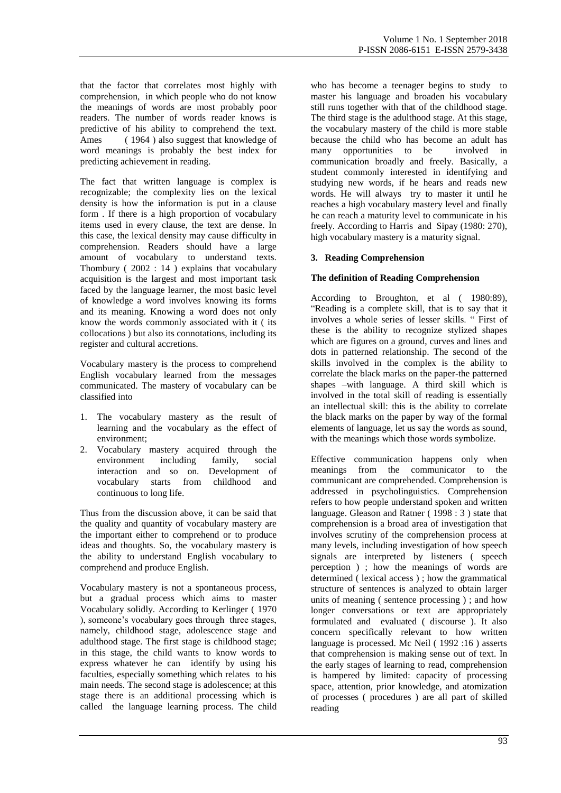that the factor that correlates most highly with comprehension, in which people who do not know the meanings of words are most probably poor readers. The number of words reader knows is predictive of his ability to comprehend the text. Ames (1964) also suggest that knowledge of word meanings is probably the best index for predicting achievement in reading.

The fact that written language is complex is recognizable; the complexity lies on the lexical density is how the information is put in a clause form . If there is a high proportion of vocabulary items used in every clause, the text are dense. In this case, the lexical density may cause difficulty in comprehension. Readers should have a large amount of vocabulary to understand texts. Thombury ( 2002 : 14 ) explains that vocabulary acquisition is the largest and most important task faced by the language learner, the most basic level of knowledge a word involves knowing its forms and its meaning. Knowing a word does not only know the words commonly associated with it ( its collocations ) but also its connotations, including its register and cultural accretions.

Vocabulary mastery is the process to comprehend English vocabulary learned from the messages communicated. The mastery of vocabulary can be classified into

- 1. The vocabulary mastery as the result of learning and the vocabulary as the effect of environment;
- 2. Vocabulary mastery acquired through the<br>environment including family, social environment including family, social interaction and so on. Development of vocabulary starts from childhood and continuous to long life.

Thus from the discussion above, it can be said that the quality and quantity of vocabulary mastery are the important either to comprehend or to produce ideas and thoughts. So, the vocabulary mastery is the ability to understand English vocabulary to comprehend and produce English.

Vocabulary mastery is not a spontaneous process, but a gradual process which aims to master Vocabulary solidly. According to Kerlinger ( 1970 ), someone's vocabulary goes through three stages, namely, childhood stage, adolescence stage and adulthood stage. The first stage is childhood stage; in this stage, the child wants to know words to express whatever he can identify by using his faculties, especially something which relates to his main needs. The second stage is adolescence; at this stage there is an additional processing which is called the language learning process. The child who has become a teenager begins to study to master his language and broaden his vocabulary still runs together with that of the childhood stage. The third stage is the adulthood stage. At this stage, the vocabulary mastery of the child is more stable because the child who has become an adult has many opportunities to be involved in communication broadly and freely. Basically, a student commonly interested in identifying and studying new words, if he hears and reads new words. He will always try to master it until he reaches a high vocabulary mastery level and finally he can reach a maturity level to communicate in his freely. According to Harris and Sipay (1980: 270), high vocabulary mastery is a maturity signal.

### **3. Reading Comprehension**

#### **The definition of Reading Comprehension**

According to Broughton, et al ( 1980:89), "Reading is a complete skill, that is to say that it involves a whole series of lesser skills. " First of these is the ability to recognize stylized shapes which are figures on a ground, curves and lines and dots in patterned relationship. The second of the skills involved in the complex is the ability to correlate the black marks on the paper-the patterned shapes –with language. A third skill which is involved in the total skill of reading is essentially an intellectual skill: this is the ability to correlate the black marks on the paper by way of the formal elements of language, let us say the words as sound, with the meanings which those words symbolize.

Effective communication happens only when meanings from the communicator to the communicant are comprehended. Comprehension is addressed in psycholinguistics. Comprehension refers to how people understand spoken and written language. Gleason and Ratner ( 1998 : 3 ) state that comprehension is a broad area of investigation that involves scrutiny of the comprehension process at many levels, including investigation of how speech signals are interpreted by listeners ( speech perception ) ; how the meanings of words are determined ( lexical access ) ; how the grammatical structure of sentences is analyzed to obtain larger units of meaning ( sentence processing ) ; and how longer conversations or text are appropriately formulated and evaluated ( discourse ). It also concern specifically relevant to how written language is processed. Mc Neil (1992:16) asserts that comprehension is making sense out of text. In the early stages of learning to read, comprehension is hampered by limited: capacity of processing space, attention, prior knowledge, and atomization of processes ( procedures ) are all part of skilled reading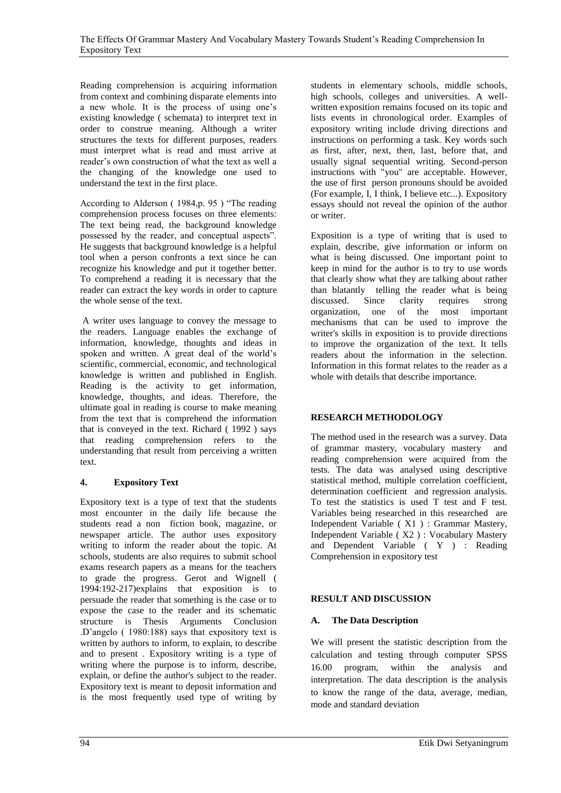Reading comprehension is acquiring information from context and combining disparate elements into a new whole. It is the process of using one"s existing knowledge ( schemata) to interpret text in order to construe meaning. Although a writer structures the texts for different purposes, readers must interpret what is read and must arrive at reader"s own construction of what the text as well a the changing of the knowledge one used to understand the text in the first place.

According to Alderson ( 1984,p. 95 ) "The reading comprehension process focuses on three elements: The text being read, the background knowledge possessed by the reader, and conceptual aspects". He suggests that background knowledge is a helpful tool when a person confronts a text since he can recognize his knowledge and put it together better. To comprehend a reading it is necessary that the reader can extract the key words in order to capture the whole sense of the text.

A writer uses language to convey the message to the readers. Language enables the exchange of information, knowledge, thoughts and ideas in spoken and written. A great deal of the world"s scientific, commercial, economic, and technological knowledge is written and published in English. Reading is the activity to get information, knowledge, thoughts, and ideas. Therefore, the ultimate goal in reading is course to make meaning from the text that is comprehend the information that is conveyed in the text. Richard ( 1992 ) says that reading comprehension refers to the understanding that result from perceiving a written text.

# **4. Expository Text**

Expository text is a type of text that the students most encounter in the daily life because the students read a non fiction book, magazine, or newspaper article. The author uses expository writing to inform the reader about the topic. At schools, students are also requires to submit school exams research papers as a means for the teachers to grade the progress. Gerot and Wignell ( 1994:192-217)explains that exposition is to persuade the reader that something is the case or to expose the case to the reader and its schematic structure is Thesis Arguments Conclusion .D"angelo ( 1980:188) says that expository text is written by authors to inform, to explain, to describe and to present . Expository writing is a type of writing where the purpose is to inform, describe, explain, or define the author's subject to the reader. Expository text is meant to deposit information and is the most frequently used type of writing by

students in elementary schools, middle schools, high schools, colleges and universities. A wellwritten exposition remains focused on its topic and lists events in chronological order. Examples of expository writing include driving directions and instructions on performing a task. Key words such as first, after, next, then, last, before that, and usually signal sequential writing. Second-person instructions with "you" are acceptable. However, the use of first person pronouns should be avoided (For example, I, I think, I believe etc...). Expository essays should not reveal the opinion of the author or writer.

Exposition is a type of writing that is used to explain, describe, give information or inform on what is being discussed. One important point to keep in mind for the author is to try to use words that clearly show what they are talking about rather than blatantly telling the reader what is being<br>discussed. Since clarity requires strong discussed. Since clarity requires strong organization, one of the most important mechanisms that can be used to improve the writer's skills in exposition is to provide directions to improve the organization of the text. It tells readers about the information in the selection. Information in this format relates to the reader as a whole with details that describe importance.

# **RESEARCH METHODOLOGY**

The method used in the research was a survey. Data of grammar mastery, vocabulary mastery and reading comprehension were acquired from the tests. The data was analysed using descriptive statistical method, multiple correlation coefficient, determination coefficient and regression analysis. To test the statistics is used T test and F test. Variables being researched in this researched are Independent Variable ( X1 ) : Grammar Mastery, Independent Variable ( X2 ) : Vocabulary Mastery and Dependent Variable ( Y ) : Reading Comprehension in expository test

# **RESULT AND DISCUSSION**

# **A. The Data Description**

We will present the statistic description from the calculation and testing through computer SPSS 16.00 program, within the analysis and interpretation. The data description is the analysis to know the range of the data, average, median, mode and standard deviation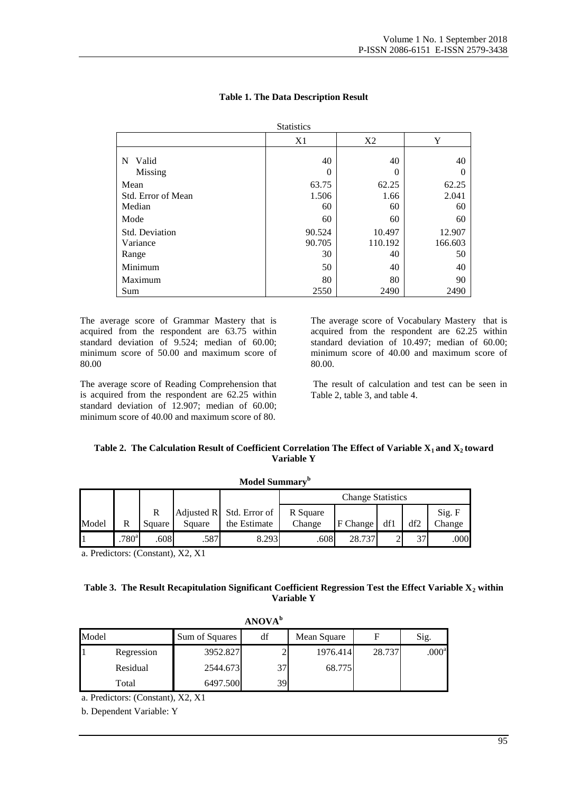| <b>Statistics</b>                    |                        |                         |                         |  |  |  |
|--------------------------------------|------------------------|-------------------------|-------------------------|--|--|--|
|                                      | X2<br>X1               |                         | Y                       |  |  |  |
| Valid<br>N<br>Missing                | 40<br>0                | 40<br>0                 | 40                      |  |  |  |
| Mean<br>Std. Error of Mean<br>Median | 63.75<br>1.506<br>60   | 62.25<br>1.66<br>60     | 62.25<br>2.041<br>60    |  |  |  |
| Mode                                 | 60                     | 60                      | 60                      |  |  |  |
| Std. Deviation<br>Variance<br>Range  | 90.524<br>90.705<br>30 | 10.497<br>110.192<br>40 | 12.907<br>166.603<br>50 |  |  |  |
| Minimum                              | 50                     | 40                      | 40                      |  |  |  |
| Maximum<br>Sum                       | 80<br>2550             | 80<br>2490              | 90<br>2490              |  |  |  |

#### **Table 1. The Data Description Result**

The average score of Grammar Mastery that is acquired from the respondent are 63.75 within standard deviation of 9.524; median of 60.00; minimum score of 50.00 and maximum score of 80.00

The average score of Reading Comprehension that is acquired from the respondent are 62.25 within standard deviation of 12.907; median of 60.00; minimum score of 40.00 and maximum score of 80.

The average score of Vocabulary Mastery that is acquired from the respondent are 62.25 within standard deviation of 10.497; median of 60.00; minimum score of 40.00 and maximum score of 80.00.

The result of calculation and test can be seen in Table 2, table 3, and table 4.

#### **Table 2. The Calculation Result of Coefficient Correlation The Effect of Variable X1 and X2 toward Variable Y**

| Model Summary" |                   |             |        |                                            |                          |          |     |     |                  |  |
|----------------|-------------------|-------------|--------|--------------------------------------------|--------------------------|----------|-----|-----|------------------|--|
|                |                   |             |        |                                            | <b>Change Statistics</b> |          |     |     |                  |  |
| Model          | R                 | R<br>Square | Square | Adjusted $R$ Std. Error of<br>the Estimate | R Square<br>Change       | F Change | df1 | df2 | Sig. F<br>Change |  |
|                | .780 <sup>a</sup> | .608        | .587   | 8.293                                      | .608                     | 28.737   |     | 37  | .000             |  |

a. Predictors: (Constant), X2, X1

### **Table 3. The Result Recapitulation Significant Coefficient Regression Test the Effect Variable X<sup>2</sup> within Variable Y**

|       | ANOVA <sup>b</sup> |                |     |             |        |                   |  |  |
|-------|--------------------|----------------|-----|-------------|--------|-------------------|--|--|
| Model |                    | Sum of Squares | df  | Mean Square |        | Sig.              |  |  |
|       | Regression         | 3952.827       |     | 1976.414    | 28.737 | .000 <sup>a</sup> |  |  |
|       | Residual           | 2544.673       | 37  | 68.775      |        |                   |  |  |
|       | Total              | 6497.500       | 391 |             |        |                   |  |  |

a. Predictors: (Constant), X2, X1

b. Dependent Variable: Y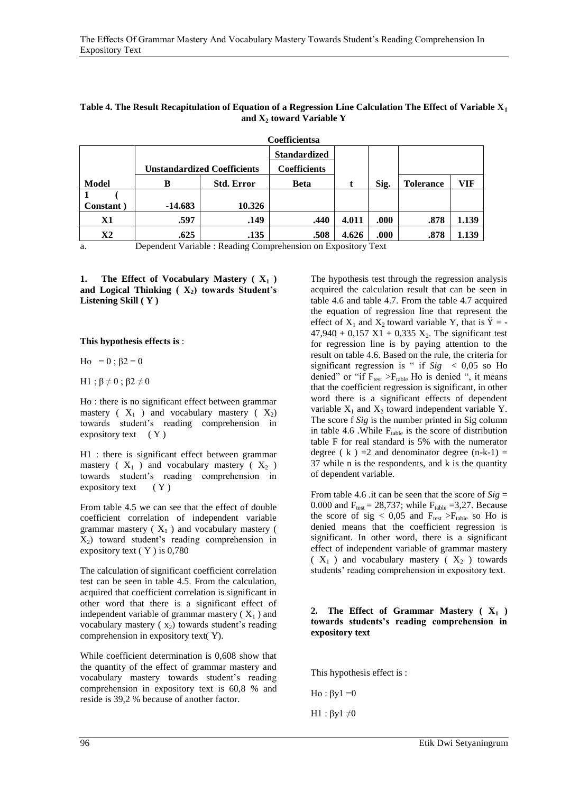| Coemicientsa                                                                                                                                                                           |                                    |                   |                     |       |      |                  |       |  |
|----------------------------------------------------------------------------------------------------------------------------------------------------------------------------------------|------------------------------------|-------------------|---------------------|-------|------|------------------|-------|--|
|                                                                                                                                                                                        |                                    |                   | <b>Standardized</b> |       |      |                  |       |  |
|                                                                                                                                                                                        | <b>Unstandardized Coefficients</b> |                   | <b>Coefficients</b> |       |      |                  |       |  |
| Model                                                                                                                                                                                  | В                                  | <b>Std. Error</b> | <b>Beta</b>         |       | Sig. | <b>Tolerance</b> | VIF   |  |
|                                                                                                                                                                                        |                                    |                   |                     |       |      |                  |       |  |
| Constant)                                                                                                                                                                              | $-14.683$                          | 10.326            |                     |       |      |                  |       |  |
| X1                                                                                                                                                                                     | .597                               | .149              | .440                | 4.011 | .000 | .878             | 1.139 |  |
| $\mathbf{X}2$                                                                                                                                                                          | .625                               | .135              | .508                | 4.626 | .000 | .878             | 1.139 |  |
| $\mathbf{D}$ and $\mathbf{M}$ and $\mathbf{M}$ and $\mathbf{D}$ and $\mathbf{M}$ and $\mathbf{C}$ and $\mathbf{C}$ and $\mathbf{D}$ and $\mathbf{D}$ and $\mathbf{M}$ and $\mathbf{C}$ |                                    |                   |                     |       |      |                  |       |  |

#### **Table 4. The Result Recapitulation of Equation of a Regression Line Calculation The Effect of Variable X<sup>1</sup> and X<sup>2</sup> toward Variable Y**

**Coefficientsa**

a. Dependent Variable : Reading Comprehension on Expository Text

**1. The Effect of Vocabulary Mastery ( X<sup>1</sup> ) and Logical Thinking ( X2) towards Student's Listening Skill ( Y )** 

#### **This hypothesis effects is** :

- Ho = 0; β2 = 0
- H1 ;  $\beta \neq 0$  ;  $\beta 2 \neq 0$

Ho : there is no significant effect between grammar mastery ( $X_1$ ) and vocabulary mastery ( $X_2$ ) towards student"s reading comprehension in expository text  $(Y)$ 

H1 : there is significant effect between grammar mastery ( $X_1$ ) and vocabulary mastery ( $X_2$ ) towards student"s reading comprehension in expository text  $(Y)$ 

From table 4.5 we can see that the effect of double coefficient correlation of independent variable grammar mastery ( $X_1$ ) and vocabulary mastery ( X2) toward student"s reading comprehension in expository text ( Y ) is 0,780

The calculation of significant coefficient correlation test can be seen in table 4.5. From the calculation, acquired that coefficient correlation is significant in other word that there is a significant effect of independent variable of grammar mastery  $(X_1)$  and vocabulary mastery  $(x_2)$  towards student's reading comprehension in expository text( Y).

While coefficient determination is 0,608 show that the quantity of the effect of grammar mastery and vocabulary mastery towards student"s reading comprehension in expository text is 60,8 % and reside is 39,2 % because of another factor.

The hypothesis test through the regression analysis acquired the calculation result that can be seen in table 4.6 and table 4.7. From the table 4.7 acquired the equation of regression line that represent the effect of  $X_1$  and  $X_2$  toward variable Y, that is  $\ddot{Y}$  = - $47,940 + 0,157$  X1 + 0,335 X<sub>2</sub>. The significant test for regression line is by paying attention to the result on table 4.6. Based on the rule, the criteria for significant regression is " if  $Sig \leq 0.05$  so Ho denied" or "if  $F_{test} > F_{table}$  Ho is denied ", it means that the coefficient regression is significant, in other word there is a significant effects of dependent variable  $X_1$  and  $X_2$  toward independent variable Y. The score f *Sig* is the number printed in Sig column in table 4.6 .While  $F_{table}$  is the score of distribution table F for real standard is 5% with the numerator degree ( $k$ ) = 2 and denominator degree (n-k-1) = 37 while n is the respondents, and k is the quantity of dependent variable.

From table 4.6 .it can be seen that the score of  $Sig =$ 0.000 and  $F_{test} = 28,737$ ; while  $F_{table} = 3,27$ . Because the score of sig <  $0.05$  and  $F_{test} > F_{table}$  so Ho is denied means that the coefficient regression is significant. In other word, there is a significant effect of independent variable of grammar mastery  $(X_1)$  and vocabulary mastery  $(X_2)$  towards students' reading comprehension in expository text.

#### **2. The Effect of Grammar Mastery ( X<sup>1</sup> ) towards students's reading comprehension in expository text**

This hypothesis effect is :

Ho :  $\beta y1 = 0$ H1 :  $βy1 ≠0$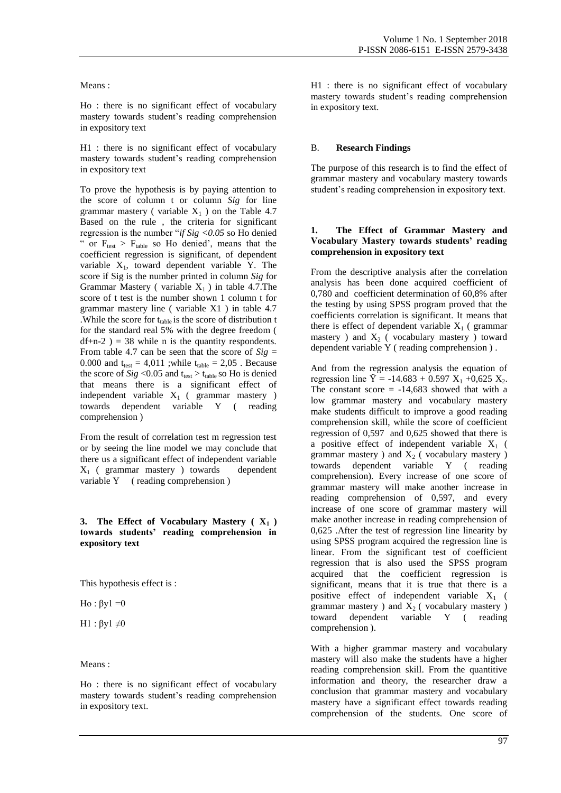#### Means :

Ho : there is no significant effect of vocabulary mastery towards student"s reading comprehension in expository text

H1 : there is no significant effect of vocabulary mastery towards student"s reading comprehension in expository text

To prove the hypothesis is by paying attention to the score of column t or column *Sig* for line grammar mastery (variable  $X_1$ ) on the Table 4.7 Based on the rule , the criteria for significant regression is the number "*if Sig <0.05* so Ho denied " or  $F_{\text{test}} > F_{\text{table}}$  so Ho denied', means that the coefficient regression is significant, of dependent variable  $X_1$ , toward dependent variable Y. The score if Sig is the number printed in column *Sig* for Grammar Mastery ( variable  $X_1$  ) in table 4.7. The score of t test is the number shown 1 column t for grammar mastery line ( variable X1 ) in table 4.7 . While the score for  $t_{table}$  is the score of distribution t for the standard real 5% with the degree freedom (  $df+n-2$ ) = 38 while n is the quantity respondents. From table 4.7 can be seen that the score of  $Sig =$ 0.000 and  $t_{test} = 4.011$ ; while  $t_{table} = 2.05$ . Because the score of  $Sig$  <0.05 and  $t_{test}$  >  $t_{table}$  so Ho is denied that means there is a significant effect of independent variable  $X_1$  (grammar mastery ) towards dependent variable Y ( reading comprehension )

From the result of correlation test m regression test or by seeing the line model we may conclude that there us a significant effect of independent variable  $X_1$  (grammar mastery ) towards dependent variable Y (reading comprehension)

#### **3. The Effect of Vocabulary Mastery ( X1 ) towards students' reading comprehension in expository text**

This hypothesis effect is :

Ho :  $\beta y1 = 0$ 

H1 :  $βy1 ≠0$ 

Means :

Ho : there is no significant effect of vocabulary mastery towards student"s reading comprehension in expository text.

H1 : there is no significant effect of vocabulary mastery towards student"s reading comprehension in expository text.

#### B. **Research Findings**

The purpose of this research is to find the effect of grammar mastery and vocabulary mastery towards student"s reading comprehension in expository text.

#### **1. The Effect of Grammar Mastery and Vocabulary Mastery towards students' reading comprehension in expository text**

From the descriptive analysis after the correlation analysis has been done acquired coefficient of 0,780 and coefficient determination of 60,8% after the testing by using SPSS program proved that the coefficients correlation is significant. It means that there is effect of dependent variable  $X_1$  (grammar mastery ) and  $X_2$  ( vocabulary mastery ) toward dependent variable Y ( reading comprehension ) .

And from the regression analysis the equation of regression line  $\ddot{Y} = -14.683 + 0.597 X_1 + 0.625 X_2$ . The constant score  $= -14,683$  showed that with a low grammar mastery and vocabulary mastery make students difficult to improve a good reading comprehension skill, while the score of coefficient regression of 0,597 and 0,625 showed that there is a positive effect of independent variable  $X_1$  ( grammar mastery ) and  $X_2$  ( vocabulary mastery ) towards dependent variable Y ( reading comprehension). Every increase of one score of grammar mastery will make another increase in reading comprehension of 0,597, and every increase of one score of grammar mastery will make another increase in reading comprehension of 0,625 .After the test of regression line linearity by using SPSS program acquired the regression line is linear. From the significant test of coefficient regression that is also used the SPSS program acquired that the coefficient regression is significant, means that it is true that there is a positive effect of independent variable  $X_1$  ( grammar mastery ) and  $X_2$  (vocabulary mastery ) toward dependent variable  $Y$  (reading dependent variable Y (reading comprehension ).

With a higher grammar mastery and vocabulary mastery will also make the students have a higher reading comprehension skill. From the quantitive information and theory, the researcher draw a conclusion that grammar mastery and vocabulary mastery have a significant effect towards reading comprehension of the students. One score of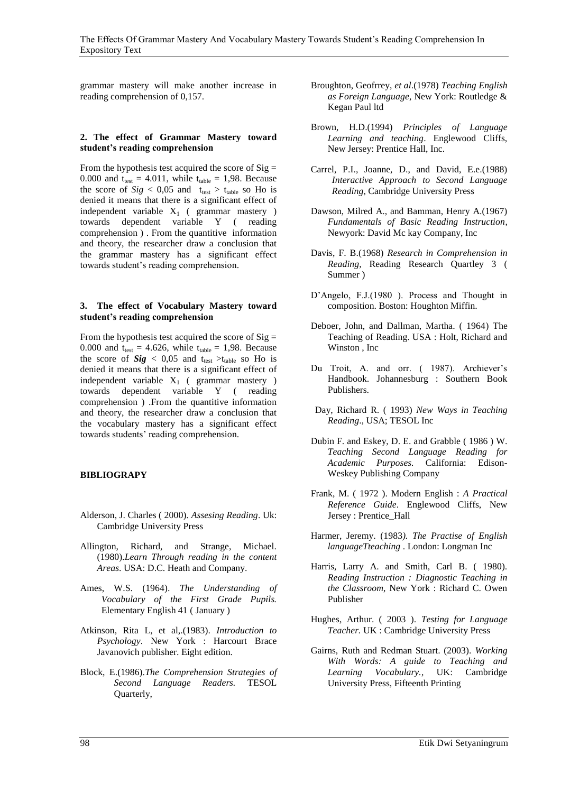grammar mastery will make another increase in reading comprehension of 0,157.

#### **2. The effect of Grammar Mastery toward student's reading comprehension**

From the hypothesis test acquired the score of  $Sig =$ 0.000 and  $t_{test} = 4.011$ , while  $t_{table} = 1,98$ . Because the score of  $Sig$  < 0,05 and  $t_{test}$  >  $t_{table}$  so Ho is denied it means that there is a significant effect of independent variable  $X_1$  (grammar mastery ) towards dependent variable Y ( reading comprehension ) . From the quantitive information and theory, the researcher draw a conclusion that the grammar mastery has a significant effect towards student"s reading comprehension.

#### **3. The effect of Vocabulary Mastery toward student's reading comprehension**

From the hypothesis test acquired the score of  $Sig =$ 0.000 and  $t_{test} = 4.626$ , while  $t_{table} = 1,98$ . Because the score of  $Sig$  < 0,05 and t<sub>test</sub> >t<sub>table</sub> so Ho is denied it means that there is a significant effect of independent variable  $X_1$  (grammar mastery ) towards dependent variable Y ( reading comprehension ) .From the quantitive information and theory, the researcher draw a conclusion that the vocabulary mastery has a significant effect towards students' reading comprehension.

### **BIBLIOGRAPY**

- Alderson, J. Charles ( 2000). *Assesing Reading*. Uk: Cambridge University Press
- Allington, Richard, and Strange, Michael. (1980).*Learn Through reading in the content Areas*. USA: D.C. Heath and Company.
- Ames, W.S. (1964). *The Understanding of Vocabulary of the First Grade Pupils.* Elementary English 41 ( January )
- Atkinson, Rita L, et al,.(1983). *Introduction to Psychology*. New York : Harcourt Brace Javanovich publisher. Eight edition.
- Block, E.(1986).*The Comprehension Strategies of Second Language Readers.* TESOL Quarterly,
- Broughton, Geofrrey, *et al*.(1978) *Teaching English as Foreign Language*, New York: Routledge & Kegan Paul ltd
- Brown, H.D.(1994) *Principles of Language Learning and teaching*. Englewood Cliffs, New Jersey: Prentice Hall, Inc.
- Carrel, P.I., Joanne, D., and David, E.e.(1988) *Interactive Approach to Second Language Reading,* Cambridge University Press
- Dawson, Milred A., and Bamman, Henry A.(1967) *Fundamentals of Basic Reading Instruction*, Newyork: David Mc kay Company, Inc
- Davis, F. B.(1968) *Research in Comprehension in Reading,* Reading Research Quartley 3 ( Summer )
- D'Angelo, F.J.(1980). Process and Thought in composition. Boston: Houghton Miffin.
- Deboer, John, and Dallman, Martha. ( 1964) The Teaching of Reading. USA : Holt, Richard and Winston , Inc
- Du Troit, A. and orr. ( 1987). Archiever's Handbook. Johannesburg : Southern Book Publishers.
- Day, Richard R. ( 1993) *New Ways in Teaching Reading*., USA; TESOL Inc
- Dubin F. and Eskey, D. E. and Grabble ( 1986 ) W. *Teaching Second Language Reading for Academic Purposes.* California: Edison-Weskey Publishing Company
- Frank, M. ( 1972 ). Modern English : *A Practical Reference Guide*. Englewood Cliffs, New Jersey : Prentice\_Hall
- Harmer, Jeremy. (1983*). The Practise of English languageTteaching* . London: Longman Inc
- Harris, Larry A. and Smith, Carl B. ( 1980). *Reading Instruction : Diagnostic Teaching in the Classroom*, New York : Richard C. Owen Publisher
- Hughes, Arthur. ( 2003 ). *Testing for Language Teacher.* UK : Cambridge University Press
- Gairns, Ruth and Redman Stuart. (2003). *Working With Words: A guide to Teaching and Learning Vocabulary.*, UK: Cambridge University Press, Fifteenth Printing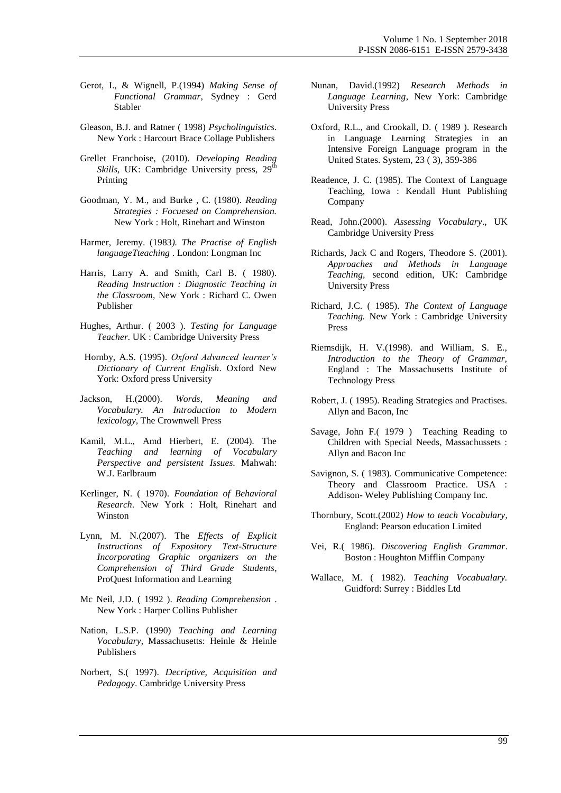- Gerot, I., & Wignell, P.(1994) *Making Sense of Functional Grammar*, Sydney : Gerd Stabler
- Gleason, B.J. and Ratner ( 1998) *Psycholinguistics*. New York : Harcourt Brace Collage Publishers
- Grellet Franchoise, (2010). *Developing Reading Skills*, UK: Cambridge University press, 29<sup>th</sup> Printing
- Goodman, Y. M., and Burke , C. (1980). *Reading Strategies : Focuesed on Comprehension.* New York : Holt, Rinehart and Winston
- Harmer, Jeremy. (1983*). The Practise of English languageTteaching* . London: Longman Inc
- Harris, Larry A. and Smith, Carl B. ( 1980). *Reading Instruction : Diagnostic Teaching in the Classroom*, New York : Richard C. Owen Publisher
- Hughes, Arthur. ( 2003 ). *Testing for Language Teacher.* UK : Cambridge University Press
- Hornby, A.S. (1995). *Oxford Advanced learner's Dictionary of Current English*. Oxford New York: Oxford press University
- Jackson, H.(2000). *Words, Meaning and Vocabulary. An Introduction to Modern lexicology,* The Crownwell Press
- Kamil, M.L., Amd Hierbert, E. (2004). The *Teaching and learning of Vocabulary Perspective and persistent Issues*. Mahwah: W.J. Earlbraum
- Kerlinger, N. ( 1970). *Foundation of Behavioral Research*. New York : Holt, Rinehart and Winston
- Lynn, M. N.(2007). The *Effects of Explicit Instructions of Expository Text-Structure Incorporating Graphic organizers on the Comprehension of Third Grade Students*, ProQuest Information and Learning
- Mc Neil, J.D. ( 1992 ). *Reading Comprehension* . New York : Harper Collins Publisher
- Nation, L.S.P. (1990) *Teaching and Learning Vocabulary*, Massachusetts: Heinle & Heinle Publishers
- Norbert, S.( 1997). *Decriptive, Acquisition and Pedagogy*. Cambridge University Press
- Nunan, David.(1992) *Research Methods in Language Learning*, New York: Cambridge University Press
- Oxford, R.L., and Crookall, D. ( 1989 ). Research in Language Learning Strategies in an Intensive Foreign Language program in the United States. System, 23 ( 3), 359-386
- Readence, J. C. (1985). The Context of Language Teaching, Iowa : Kendall Hunt Publishing Company
- Read, John.(2000). *Assessing Vocabulary*., UK Cambridge University Press
- Richards, Jack C and Rogers, Theodore S. (2001). *Approaches and Methods in Language Teaching,* second edition, UK: Cambridge University Press
- Richard, J.C. ( 1985). *The Context of Language Teaching.* New York : Cambridge University Press
- Riemsdijk, H. V.(1998). and William, S. E., *Introduction to the Theory of Grammar,*  England : The Massachusetts Institute of Technology Press
- Robert, J. ( 1995). Reading Strategies and Practises. Allyn and Bacon, Inc
- Savage, John F.( 1979 ) Teaching Reading to Children with Special Needs, Massachussets : Allyn and Bacon Inc
- Savignon, S. ( 1983). Communicative Competence: Theory and Classroom Practice. USA : Addison- Weley Publishing Company Inc.
- Thornbury, Scott.(2002) *How to teach Vocabulary*, England: Pearson education Limited
- Vei, R.( 1986). *Discovering English Grammar*. Boston : Houghton Mifflin Company
- Wallace, M. ( 1982). *Teaching Vocabualary.* Guidford: Surrey : Biddles Ltd